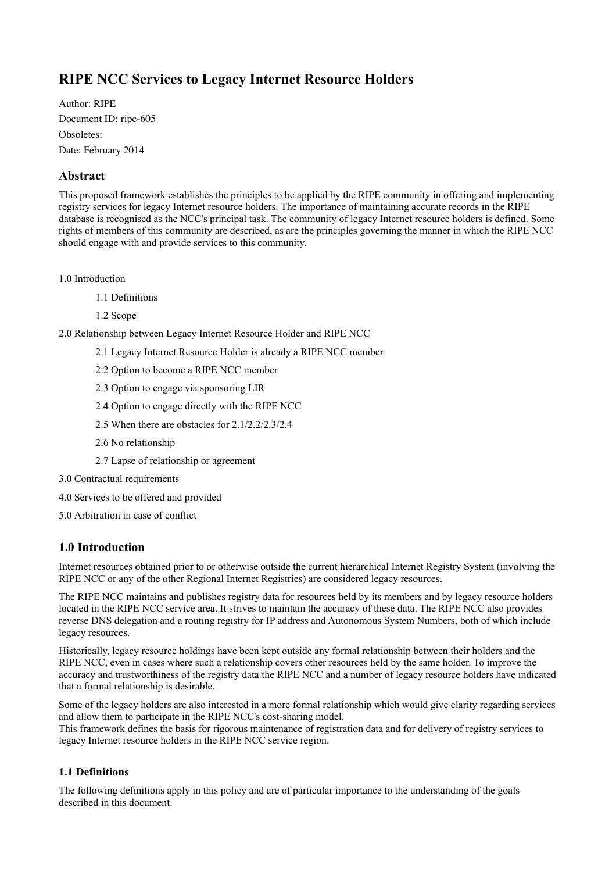# **RIPE NCC Services to Legacy Internet Resource Holders**

Author: RIPE Document ID: ripe-605 Obsoletes: Date: February 2014

# **Abstract**

This proposed framework establishes the principles to be applied by the RIPE community in offering and implementing registry services for legacy Internet resource holders. The importance of maintaining accurate records in the RIPE database is recognised as the NCC's principal task. The community of legacy Internet resource holders is defined. Some rights of members of this community are described, as are the principles governing the manner in which the RIPE NCC should engage with and provide services to this community.

1.0 [Introduction](https://www.ripe.net/ripe/docs/other-documents/draft-ripe-ncc-services-to-legacy-internet-resource-holders#introduction)

- 1.1 [Definitions](https://www.ripe.net/ripe/docs/other-documents/draft-ripe-ncc-services-to-legacy-internet-resource-holders#definitions)
- 1.2 [Scope](https://www.ripe.net/ripe/docs/other-documents/draft-ripe-ncc-services-to-legacy-internet-resource-holders#scope)

2.0 [Relationship between Legacy Internet Resource Holder and RIPE NCC](https://www.ripe.net/ripe/docs/other-documents/draft-ripe-ncc-services-to-legacy-internet-resource-holders#relationship)

- 2.1 [Legacy Internet Resource Holder is already a RIPE NCC member](https://www.ripe.net/ripe/docs/other-documents/draft-ripe-ncc-services-to-legacy-internet-resource-holders#legacy)
- 2.2 [Option to become a RIPE NCC member](https://www.ripe.net/ripe/docs/other-documents/draft-ripe-ncc-services-to-legacy-internet-resource-holders#option22)
- 2.3 [Option to engage via sponsoring LIR](https://www.ripe.net/ripe/docs/other-documents/draft-ripe-ncc-services-to-legacy-internet-resource-holders#option23)
- 2.4 [Option to engage directly with the RIPE NCC](https://www.ripe.net/ripe/docs/other-documents/draft-ripe-ncc-services-to-legacy-internet-resource-holders#option24)
- 2.5 [When there are obstacles for 2.1/2.2/2.3/2.4](https://www.ripe.net/ripe/docs/other-documents/draft-ripe-ncc-services-to-legacy-internet-resource-holders#obstacles)
- 2.6 [No relationship](https://www.ripe.net/ripe/docs/other-documents/draft-ripe-ncc-services-to-legacy-internet-resource-holders#no_relationship)
- 2.7 [Lapse of relationship or agreement](https://www.ripe.net/ripe/docs/other-documents/draft-ripe-ncc-services-to-legacy-internet-resource-holders#lapse)
- 3.0 [Contractual requirements](https://www.ripe.net/ripe/docs/other-documents/draft-ripe-ncc-services-to-legacy-internet-resource-holders#contractual)
- 4.0 [Services to be offered and provided](https://www.ripe.net/ripe/docs/other-documents/draft-ripe-ncc-services-to-legacy-internet-resource-holders#services)
- 5.0 [Arbitration in case of conflict](https://www.ripe.net/ripe/docs/other-documents/draft-ripe-ncc-services-to-legacy-internet-resource-holders#arbitration)

# **1.0 Introduction**

Internet resources obtained prior to or otherwise outside the current hierarchical Internet Registry System (involving the RIPE NCC or any of the other Regional Internet Registries) are considered legacy resources.

The RIPE NCC maintains and publishes registry data for resources held by its members and by legacy resource holders located in the RIPE NCC service area. It strives to maintain the accuracy of these data. The RIPE NCC also provides reverse DNS delegation and a routing registry for IP address and Autonomous System Numbers, both of which include legacy resources.

Historically, legacy resource holdings have been kept outside any formal relationship between their holders and the RIPE NCC, even in cases where such a relationship covers other resources held by the same holder. To improve the accuracy and trustworthiness of the registry data the RIPE NCC and a number of legacy resource holders have indicated that a formal relationship is desirable.

Some of the legacy holders are also interested in a more formal relationship which would give clarity regarding services and allow them to participate in the RIPE NCC's cost-sharing model.

This framework defines the basis for rigorous maintenance of registration data and for delivery of registry services to legacy Internet resource holders in the RIPE NCC service region.

### **1.1 Definitions**

The following definitions apply in this policy and are of particular importance to the understanding of the goals described in this document.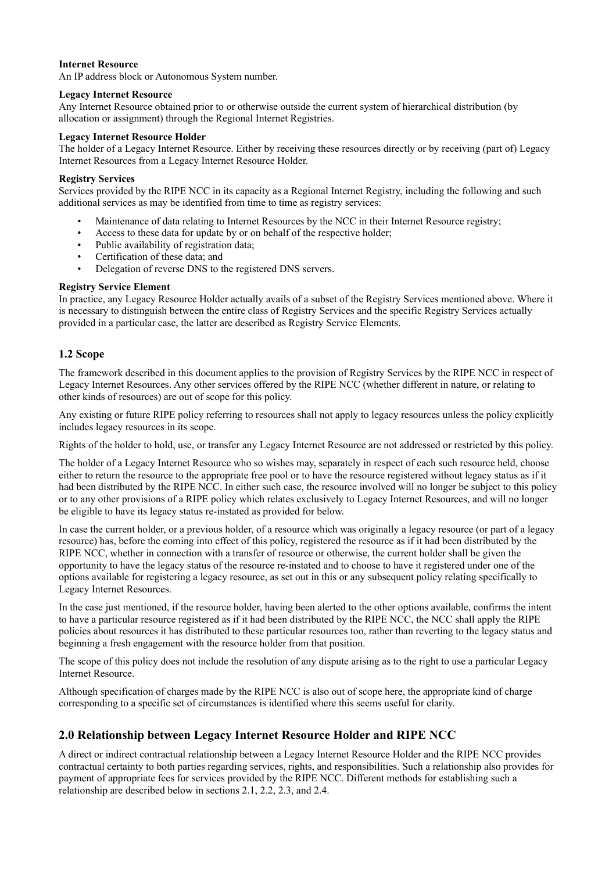#### **Internet Resource**

An IP address block or Autonomous System number.

#### **Legacy Internet Resource**

Any Internet Resource obtained prior to or otherwise outside the current system of hierarchical distribution (by allocation or assignment) through the Regional Internet Registries.

#### **Legacy Internet Resource Holder**

The holder of a Legacy Internet Resource. Either by receiving these resources directly or by receiving (part of) Legacy Internet Resources from a Legacy Internet Resource Holder.

#### **Registry Services**

Services provided by the RIPE NCC in its capacity as a Regional Internet Registry, including the following and such additional services as may be identified from time to time as registry services:

- Maintenance of data relating to Internet Resources by the NCC in their Internet Resource registry;
- Access to these data for update by or on behalf of the respective holder;
- Public availability of registration data:
- Certification of these data; and
- Delegation of reverse DNS to the registered DNS servers.

#### **Registry Service Element**

In practice, any Legacy Resource Holder actually avails of a subset of the Registry Services mentioned above. Where it is necessary to distinguish between the entire class of Registry Services and the specific Registry Services actually provided in a particular case, the latter are described as Registry Service Elements.

#### **1.2 Scope**

The framework described in this document applies to the provision of Registry Services by the RIPE NCC in respect of Legacy Internet Resources. Any other services offered by the RIPE NCC (whether different in nature, or relating to other kinds of resources) are out of scope for this policy.

Any existing or future RIPE policy referring to resources shall not apply to legacy resources unless the policy explicitly includes legacy resources in its scope.

Rights of the holder to hold, use, or transfer any Legacy Internet Resource are not addressed or restricted by this policy.

The holder of a Legacy Internet Resource who so wishes may, separately in respect of each such resource held, choose either to return the resource to the appropriate free pool or to have the resource registered without legacy status as if it had been distributed by the RIPE NCC. In either such case, the resource involved will no longer be subject to this policy or to any other provisions of a RIPE policy which relates exclusively to Legacy Internet Resources, and will no longer be eligible to have its legacy status re-instated as provided for below.

In case the current holder, or a previous holder, of a resource which was originally a legacy resource (or part of a legacy resource) has, before the coming into effect of this policy, registered the resource as if it had been distributed by the RIPE NCC, whether in connection with a transfer of resource or otherwise, the current holder shall be given the opportunity to have the legacy status of the resource re-instated and to choose to have it registered under one of the options available for registering a legacy resource, as set out in this or any subsequent policy relating specifically to Legacy Internet Resources.

In the case just mentioned, if the resource holder, having been alerted to the other options available, confirms the intent to have a particular resource registered as if it had been distributed by the RIPE NCC, the NCC shall apply the RIPE policies about resources it has distributed to these particular resources too, rather than reverting to the legacy status and beginning a fresh engagement with the resource holder from that position.

The scope of this policy does not include the resolution of any dispute arising as to the right to use a particular Legacy Internet Resource.

Although specification of charges made by the RIPE NCC is also out of scope here, the appropriate kind of charge corresponding to a specific set of circumstances is identified where this seems useful for clarity.

# **2.0 Relationship between Legacy Internet Resource Holder and RIPE NCC**

A direct or indirect contractual relationship between a Legacy Internet Resource Holder and the RIPE NCC provides contractual certainty to both parties regarding services, rights, and responsibilities. Such a relationship also provides for payment of appropriate fees for services provided by the RIPE NCC. Different methods for establishing such a relationship are described below in sections 2.1, 2.2, 2.3, and 2.4.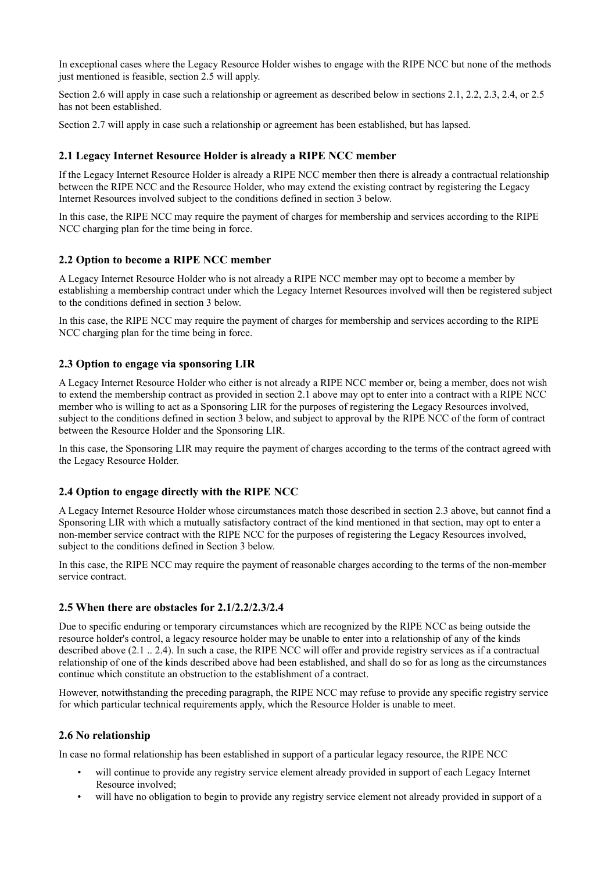In exceptional cases where the Legacy Resource Holder wishes to engage with the RIPE NCC but none of the methods just mentioned is feasible, section 2.5 will apply.

Section 2.6 will apply in case such a relationship or agreement as described below in sections 2.1, 2.2, 2.3, 2.4, or 2.5 has not been established.

Section 2.7 will apply in case such a relationship or agreement has been established, but has lapsed.

### **2.1 Legacy Internet Resource Holder is already a RIPE NCC member**

If the Legacy Internet Resource Holder is already a RIPE NCC member then there is already a contractual relationship between the RIPE NCC and the Resource Holder, who may extend the existing contract by registering the Legacy Internet Resources involved subject to the conditions defined in section 3 below.

In this case, the RIPE NCC may require the payment of charges for membership and services according to the RIPE NCC charging plan for the time being in force.

### **2.2 Option to become a RIPE NCC member**

A Legacy Internet Resource Holder who is not already a RIPE NCC member may opt to become a member by establishing a membership contract under which the Legacy Internet Resources involved will then be registered subject to the conditions defined in section 3 below.

In this case, the RIPE NCC may require the payment of charges for membership and services according to the RIPE NCC charging plan for the time being in force.

### **2.3 Option to engage via sponsoring LIR**

A Legacy Internet Resource Holder who either is not already a RIPE NCC member or, being a member, does not wish to extend the membership contract as provided in section 2.1 above may opt to enter into a contract with a RIPE NCC member who is willing to act as a Sponsoring LIR for the purposes of registering the Legacy Resources involved, subject to the conditions defined in section 3 below, and subject to approval by the RIPE NCC of the form of contract between the Resource Holder and the Sponsoring LIR.

In this case, the Sponsoring LIR may require the payment of charges according to the terms of the contract agreed with the Legacy Resource Holder.

### **2.4 Option to engage directly with the RIPE NCC**

A Legacy Internet Resource Holder whose circumstances match those described in section 2.3 above, but cannot find a Sponsoring LIR with which a mutually satisfactory contract of the kind mentioned in that section, may opt to enter a non-member service contract with the RIPE NCC for the purposes of registering the Legacy Resources involved, subject to the conditions defined in Section 3 below.

In this case, the RIPE NCC may require the payment of reasonable charges according to the terms of the non-member service contract.

### **2.5 When there are obstacles for 2.1/2.2/2.3/2.4**

Due to specific enduring or temporary circumstances which are recognized by the RIPE NCC as being outside the resource holder's control, a legacy resource holder may be unable to enter into a relationship of any of the kinds described above (2.1 .. 2.4). In such a case, the RIPE NCC will offer and provide registry services as if a contractual relationship of one of the kinds described above had been established, and shall do so for as long as the circumstances continue which constitute an obstruction to the establishment of a contract.

However, notwithstanding the preceding paragraph, the RIPE NCC may refuse to provide any specific registry service for which particular technical requirements apply, which the Resource Holder is unable to meet.

### **2.6 No relationship**

In case no formal relationship has been established in support of a particular legacy resource, the RIPE NCC

- will continue to provide any registry service element already provided in support of each Legacy Internet Resource involved;
- will have no obligation to begin to provide any registry service element not already provided in support of a